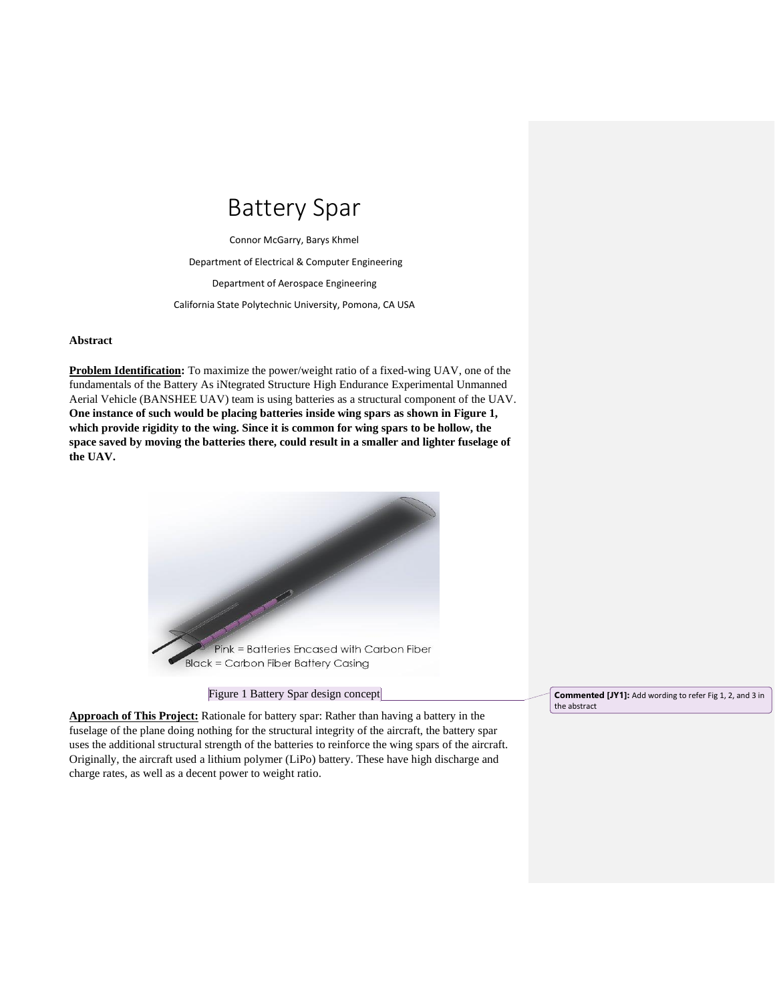## Battery Spar

Connor McGarry, Barys Khmel Department of Electrical & Computer Engineering Department of Aerospace Engineering California State Polytechnic University, Pomona, CA USA

## **Abstract**

**Problem Identification:** To maximize the power/weight ratio of a fixed-wing UAV, one of the fundamentals of the Battery As iNtegrated Structure High Endurance Experimental Unmanned Aerial Vehicle (BANSHEE UAV) team is using batteries as a structural component of the UAV. **One instance of such would be placing batteries inside wing spars as shown in Figure 1, which provide rigidity to the wing. Since it is common for wing spars to be hollow, the space saved by moving the batteries there, could result in a smaller and lighter fuselage of the UAV.**



Figure 1 Battery Spar design concept

**Approach of This Project:** Rationale for battery spar: Rather than having a battery in the fuselage of the plane doing nothing for the structural integrity of the aircraft, the battery spar uses the additional structural strength of the batteries to reinforce the wing spars of the aircraft. Originally, the aircraft used a lithium polymer (LiPo) battery. These have high discharge and charge rates, as well as a decent power to weight ratio.

**Commented [JY1]:** Add wording to refer Fig 1, 2, and 3 in the abstract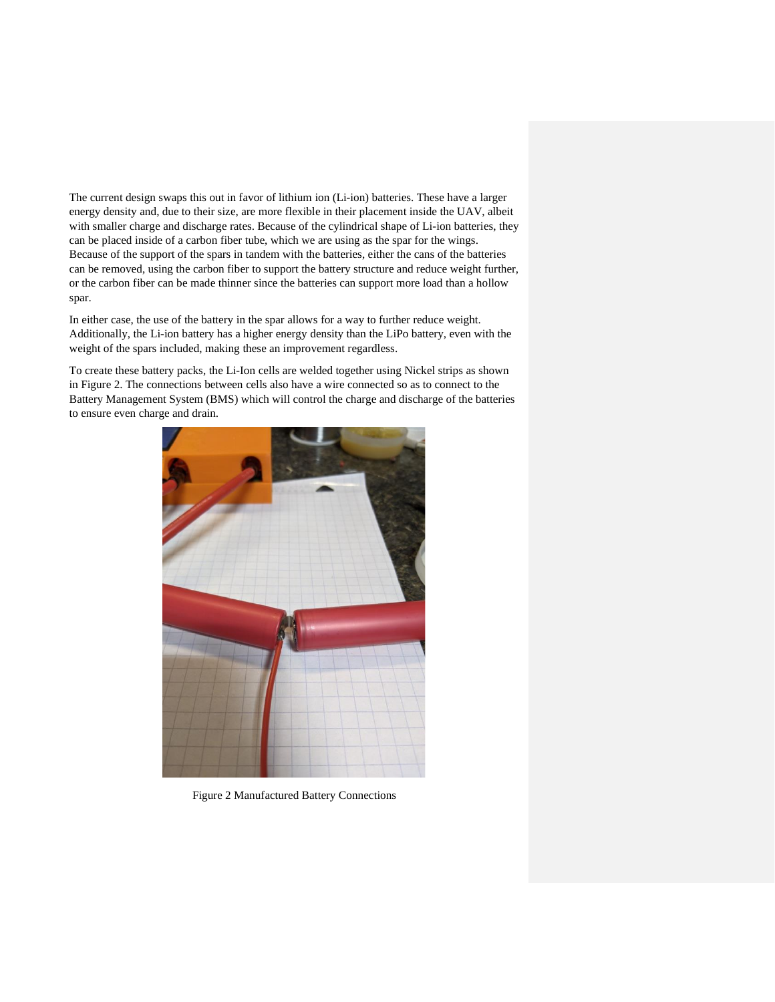The current design swaps this out in favor of lithium ion (Li-ion) batteries. These have a larger energy density and, due to their size, are more flexible in their placement inside the UAV, albeit with smaller charge and discharge rates. Because of the cylindrical shape of Li-ion batteries, they can be placed inside of a carbon fiber tube, which we are using as the spar for the wings. Because of the support of the spars in tandem with the batteries, either the cans of the batteries can be removed, using the carbon fiber to support the battery structure and reduce weight further, or the carbon fiber can be made thinner since the batteries can support more load than a hollow spar.

In either case, the use of the battery in the spar allows for a way to further reduce weight. Additionally, the Li-ion battery has a higher energy density than the LiPo battery, even with the weight of the spars included, making these an improvement regardless.

To create these battery packs, the Li-Ion cells are welded together using Nickel strips as shown in Figure 2. The connections between cells also have a wire connected so as to connect to the Battery Management System (BMS) which will control the charge and discharge of the batteries to ensure even charge and drain.



Figure 2 Manufactured Battery Connections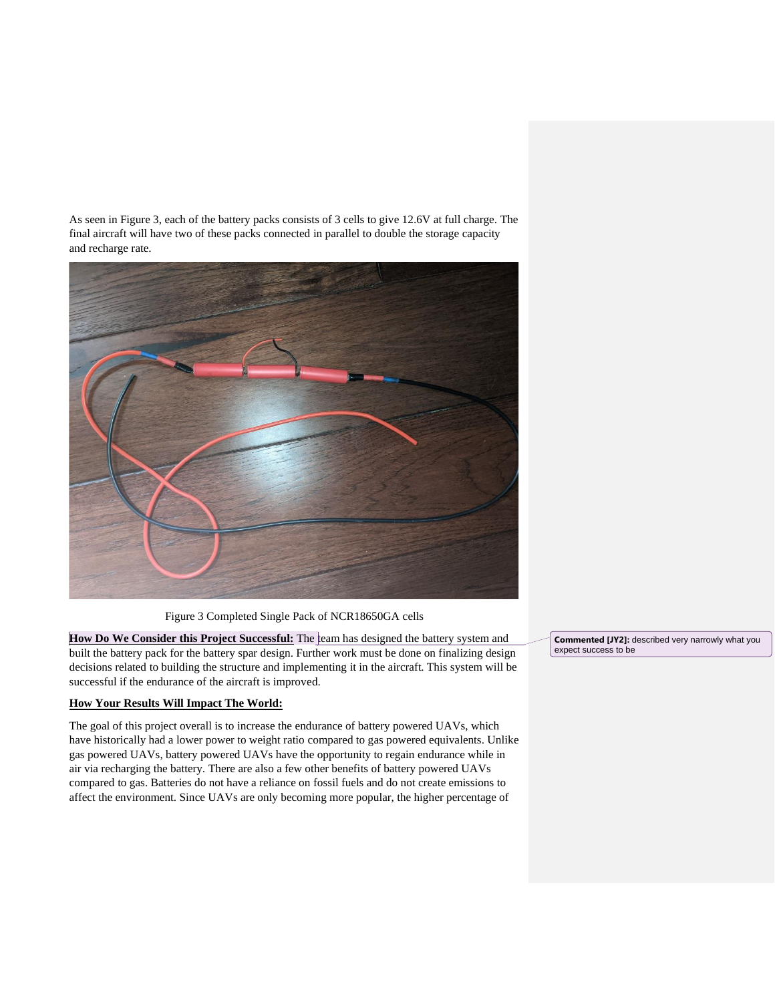As seen in Figure 3, each of the battery packs consists of 3 cells to give 12.6V at full charge. The final aircraft will have two of these packs connected in parallel to double the storage capacity and recharge rate.



Figure 3 Completed Single Pack of NCR18650GA cells

**How Do We Consider this Project Successful:** The team has designed the battery system and built the battery pack for the battery spar design. Further work must be done on finalizing design decisions related to building the structure and implementing it in the aircraft. This system will be successful if the endurance of the aircraft is improved.

## **How Your Results Will Impact The World:**

The goal of this project overall is to increase the endurance of battery powered UAVs, which have historically had a lower power to weight ratio compared to gas powered equivalents. Unlike gas powered UAVs, battery powered UAVs have the opportunity to regain endurance while in air via recharging the battery. There are also a few other benefits of battery powered UAVs compared to gas. Batteries do not have a reliance on fossil fuels and do not create emissions to affect the environment. Since UAVs are only becoming more popular, the higher percentage of

**Commented [JY2]:** described very narrowly what you expect success to be